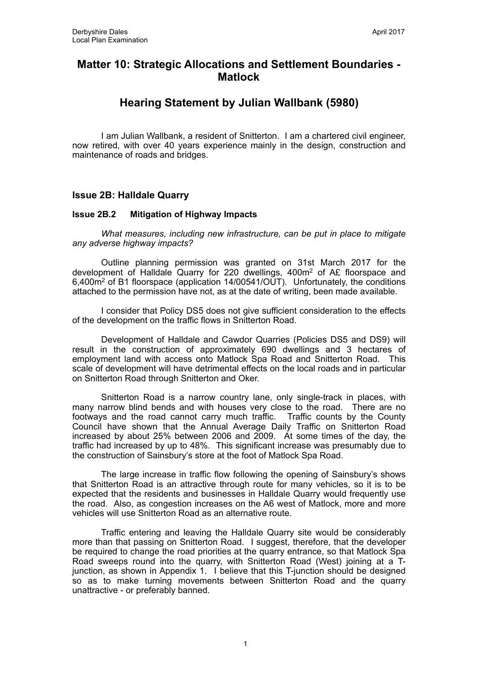# **Matter 10: Strategic Allocations and Settlement Boundaries - Matlock**

# **Hearing Statement by Julian Wallbank (5980)**

I am Julian Wallbank, a resident of Snitterton. I am a chartered civil engineer, now retired, with over 40 years experience mainly in the design, construction and maintenance of roads and bridges.

# **Issue 2B: Halldale Quarry**

# **Issue 2B.2 Mitigation of Highway Impacts**

*What measures, including new infrastructure, can be put in place to mitigate any adverse highway impacts?*

 Outline planning permission was granted on 31st March 2017 for the development of Halldale Quarry for 220 dwellings, 400m2 of A£ floorspace and 6,400m2 of B1 floorspace (application 14/00541/OUT). Unfortunately, the conditions attached to the permission have not, as at the date of writing, been made available.

 I consider that Policy DS5 does not give sufficient consideration to the effects of the development on the traffic flows in Snitterton Road.

 Development of Halldale and Cawdor Quarries (Policies DS5 and DS9) will result in the construction of approximately 690 dwellings and 3 hectares of employment land with access onto Matlock Spa Road and Snitterton Road. This scale of development will have detrimental effects on the local roads and in particular on Snitterton Road through Snitterton and Oker.

Snitterton Road is a narrow country lane, only single-track in places, with many narrow blind bends and with houses very close to the road. There are no footways and the road cannot carry much traffic. Traffic counts by the County Council have shown that the Annual Average Daily Traffic on Snitterton Road increased by about 25% between 2006 and 2009. At some times of the day, the traffic had increased by up to 48%. This significant increase was presumably due to the construction of Sainsbury's store at the foot of Matlock Spa Road.

The large increase in traffic flow following the opening of Sainsbury's shows that Snitterton Road is an attractive through route for many vehicles, so it is to be expected that the residents and businesses in Halldale Quarry would frequently use the road. Also, as congestion increases on the A6 west of Matlock, more and more vehicles will use Snitterton Road as an alternative route.

Traffic entering and leaving the Halldale Quarry site would be considerably more than that passing on Snitterton Road. I suggest, therefore, that the developer be required to change the road priorities at the quarry entrance, so that Matlock Spa Road sweeps round into the quarry, with Snitterton Road (West) joining at a Tjunction, as shown in Appendix 1. I believe that this T-junction should be designed so as to make turning movements between Snitterton Road and the quarry unattractive - or preferably banned.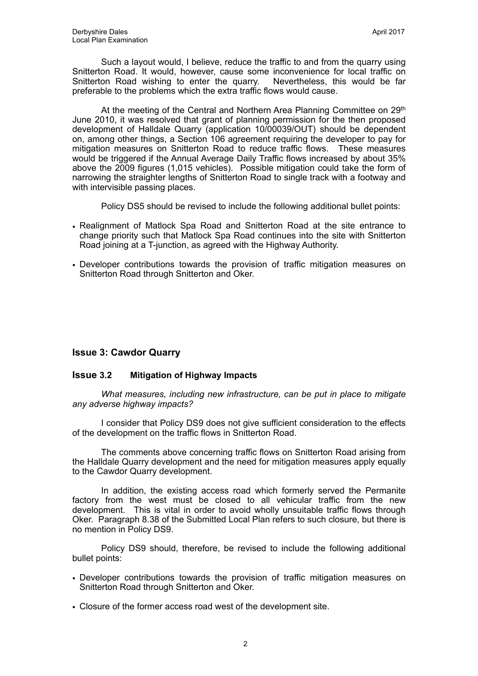Such a layout would, I believe, reduce the traffic to and from the quarry using Snitterton Road. It would, however, cause some inconvenience for local traffic on Snitterton Road wishing to enter the quarry. Nevertheless, this would be far preferable to the problems which the extra traffic flows would cause.

At the meeting of the Central and Northern Area Planning Committee on 29<sup>th</sup> June 2010, it was resolved that grant of planning permission for the then proposed development of Halldale Quarry (application 10/00039/OUT) should be dependent on, among other things, a Section 106 agreement requiring the developer to pay for mitigation measures on Snitterton Road to reduce traffic flows. These measures would be triggered if the Annual Average Daily Traffic flows increased by about 35% above the 2009 figures (1,015 vehicles). Possible mitigation could take the form of narrowing the straighter lengths of Snitterton Road to single track with a footway and with intervisible passing places.

Policy DS5 should be revised to include the following additional bullet points:

- Realignment of Matlock Spa Road and Snitterton Road at the site entrance to change priority such that Matlock Spa Road continues into the site with Snitterton Road joining at a T-junction, as agreed with the Highway Authority.
- Developer contributions towards the provision of traffic mitigation measures on Snitterton Road through Snitterton and Oker.

#### **Issue 3: Cawdor Quarry**

#### **Issue 3.2 Mitigation of Highway Impacts**

*What measures, including new infrastructure, can be put in place to mitigate any adverse highway impacts?*

 I consider that Policy DS9 does not give sufficient consideration to the effects of the development on the traffic flows in Snitterton Road.

 The comments above concerning traffic flows on Snitterton Road arising from the Halldale Quarry development and the need for mitigation measures apply equally to the Cawdor Quarry development.

In addition, the existing access road which formerly served the Permanite factory from the west must be closed to all vehicular traffic from the new development. This is vital in order to avoid wholly unsuitable traffic flows through Oker. Paragraph 8.38 of the Submitted Local Plan refers to such closure, but there is no mention in Policy DS9.

Policy DS9 should, therefore, be revised to include the following additional bullet points:

- Developer contributions towards the provision of traffic mitigation measures on Snitterton Road through Snitterton and Oker.
- Closure of the former access road west of the development site.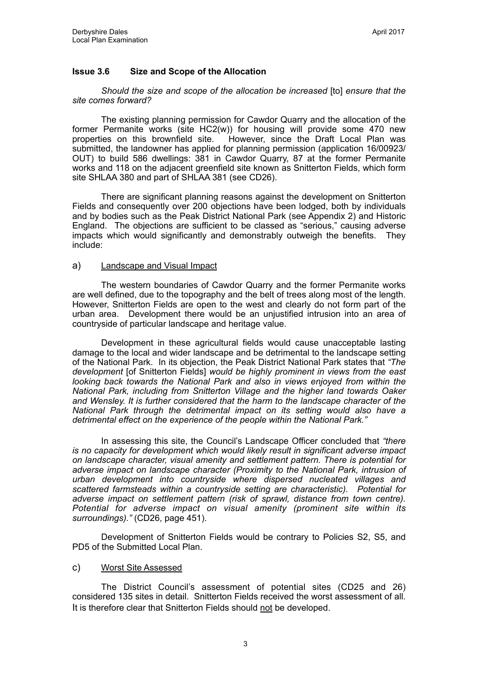# **Issue 3.6 Size and Scope of the Allocation**

*Should the size and scope of the allocation be increased* [to] *ensure that the site comes forward?* 

 The existing planning permission for Cawdor Quarry and the allocation of the former Permanite works (site HC2(w)) for housing will provide some 470 new properties on this brownfield site. However, since the Draft Local Plan was However, since the Draft Local Plan was submitted, the landowner has applied for planning permission (application 16/00923/ OUT) to build 586 dwellings: 381 in Cawdor Quarry, 87 at the former Permanite works and 118 on the adjacent greenfield site known as Snitterton Fields, which form site SHLAA 380 and part of SHLAA 381 (see CD26).

There are significant planning reasons against the development on Snitterton Fields and consequently over 200 objections have been lodged, both by individuals and by bodies such as the Peak District National Park (see Appendix 2) and Historic England. The objections are sufficient to be classed as "serious," causing adverse impacts which would significantly and demonstrably outweigh the benefits. They include:

### a) Landscape and Visual Impact

The western boundaries of Cawdor Quarry and the former Permanite works are well defined, due to the topography and the belt of trees along most of the length. However, Snitterton Fields are open to the west and clearly do not form part of the urban area. Development there would be an unjustified intrusion into an area of countryside of particular landscape and heritage value.

Development in these agricultural fields would cause unacceptable lasting damage to the local and wider landscape and be detrimental to the landscape setting of the National Park. In its objection, the Peak District National Park states that *"The development* [of Snitterton Fields] *would be highly prominent in views from the east looking back towards the National Park and also in views enjoyed from within the National Park, including from Snitterton Village and the higher land towards Oaker and Wensley. It is further considered that the harm to the landscape character of the National Park through the detrimental impact on its setting would also have a detrimental effect on the experience of the people within the National Park."* 

In assessing this site, the Council's Landscape Officer concluded that *"there is no capacity for development which would likely result in significant adverse impact on landscape character, visual amenity and settlement pattern. There is potential for adverse impact on landscape character (Proximity to the National Park, intrusion of urban development into countryside where dispersed nucleated villages and scattered farmsteads within a countryside setting are characteristic). Potential for adverse impact on settlement pattern (risk of sprawl, distance from town centre). Potential for adverse impact on visual amenity (prominent site within its surroundings)."* (CD26, page 451).

Development of Snitterton Fields would be contrary to Policies S2, S5, and PD5 of the Submitted Local Plan.

#### c) Worst Site Assessed

The District Council's assessment of potential sites (CD25 and 26) considered 135 sites in detail. Snitterton Fields received the worst assessment of all. It is therefore clear that Snitterton Fields should not be developed.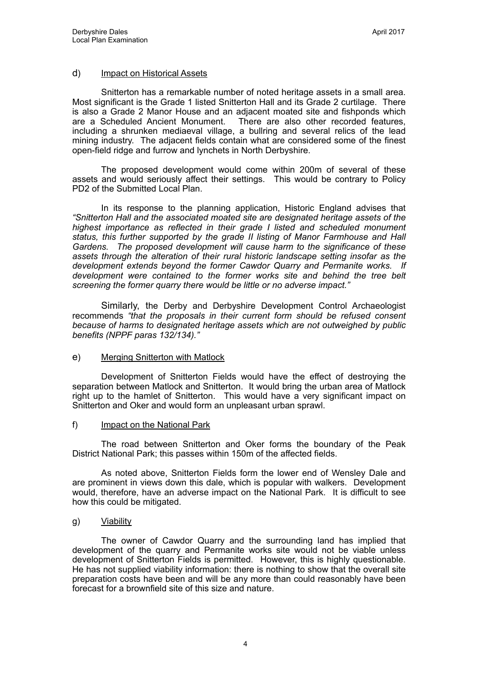### d) Impact on Historical Assets

 Snitterton has a remarkable number of noted heritage assets in a small area. Most significant is the Grade 1 listed Snitterton Hall and its Grade 2 curtilage. There is also a Grade 2 Manor House and an adjacent moated site and fishponds which are a Scheduled Ancient Monument. There are also other recorded features, including a shrunken mediaeval village, a bullring and several relics of the lead mining industry. The adjacent fields contain what are considered some of the finest open-field ridge and furrow and lynchets in North Derbyshire.

 The proposed development would come within 200m of several of these assets and would seriously affect their settings. This would be contrary to Policy PD2 of the Submitted Local Plan.

 In its response to the planning application, Historic England advises that *"Snitterton Hall and the associated moated site are designated heritage assets of the highest importance as reflected in their grade I listed and scheduled monument status, this further supported by the grade II listing of Manor Farmhouse and Hall Gardens. The proposed development will cause harm to the significance of these assets through the alteration of their rural historic landscape setting insofar as the development extends beyond the former Cawdor Quarry and Permanite works. If development were contained to the former works site and behind the tree belt screening the former quarry there would be little or no adverse impact."* 

 Similarly, the Derby and Derbyshire Development Control Archaeologist recommends *"that the proposals in their current form should be refused consent because of harms to designated heritage assets which are not outweighed by public benefits (NPPF paras 132/134)."*

#### e) Merging Snitterton with Matlock

 Development of Snitterton Fields would have the effect of destroying the separation between Matlock and Snitterton. It would bring the urban area of Matlock right up to the hamlet of Snitterton. This would have a very significant impact on Snitterton and Oker and would form an unpleasant urban sprawl.

#### f) Impact on the National Park

The road between Snitterton and Oker forms the boundary of the Peak District National Park; this passes within 150m of the affected fields.

 As noted above, Snitterton Fields form the lower end of Wensley Dale and are prominent in views down this dale, which is popular with walkers. Development would, therefore, have an adverse impact on the National Park. It is difficult to see how this could be mitigated.

#### g) Viability

 The owner of Cawdor Quarry and the surrounding land has implied that development of the quarry and Permanite works site would not be viable unless development of Snitterton Fields is permitted. However, this is highly questionable. He has not supplied viability information: there is nothing to show that the overall site preparation costs have been and will be any more than could reasonably have been forecast for a brownfield site of this size and nature.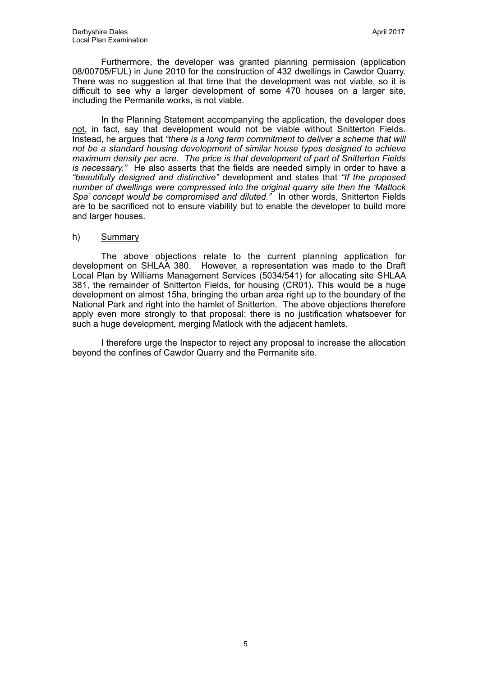Furthermore, the developer was granted planning permission (application 08/00705/FUL) in June 2010 for the construction of 432 dwellings in Cawdor Quarry. There was no suggestion at that time that the development was not viable, so it is difficult to see why a larger development of some 470 houses on a larger site, including the Permanite works, is not viable.

 In the Planning Statement accompanying the application, the developer does not, in fact, say that development would not be viable without Snitterton Fields. Instead, he argues that *"there is a long term commitment to deliver a scheme that will not be a standard housing development of similar house types designed to achieve maximum density per acre. The price is that development of part of Snitterton Fields is necessary."* He also asserts that the fields are needed simply in order to have a *"beautifully designed and distinctive"* development and states that *"If the proposed number of dwellings were compressed into the original quarry site then the 'Matlock Spa' concept would be compromised and diluted."* In other words, Snitterton Fields are to be sacrificed not to ensure viability but to enable the developer to build more and larger houses.

#### h) Summary

 The above objections relate to the current planning application for development on SHLAA 380. However, a representation was made to the Draft Local Plan by Williams Management Services (5034/541) for allocating site SHLAA 381, the remainder of Snitterton Fields, for housing (CR01). This would be a huge development on almost 15ha, bringing the urban area right up to the boundary of the National Park and right into the hamlet of Snitterton. The above objections therefore apply even more strongly to that proposal: there is no justification whatsoever for such a huge development, merging Matlock with the adjacent hamlets.

 I therefore urge the Inspector to reject any proposal to increase the allocation beyond the confines of Cawdor Quarry and the Permanite site.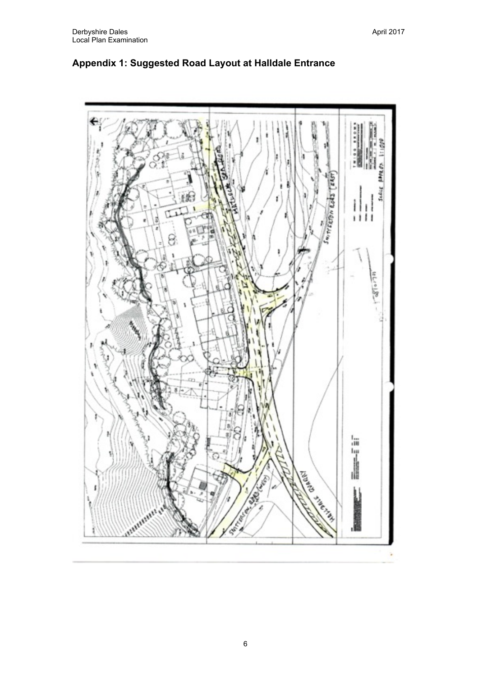

# **Appendix 1: Suggested Road Layout at Halldale Entrance**